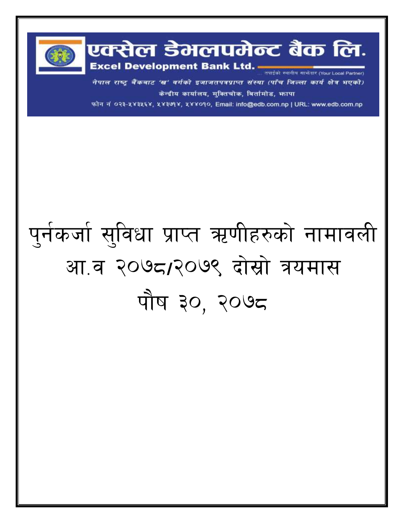

नेपाल राष्ट्र बैंकबाट 'ख' वर्गको इजाजतपत्रप्राप्त संस्था (पाँच जिल्ला कार्य क्षेत्र भएको) केन्द्रीय कार्यालय, मुक्तिचोक, बिर्तामोड, फापा

फोन नं ०२३-५४३५६४, ५४३७१४, ५४४०१०, Email: info@edb.com.np | URL: www.edb.com.np

## पुर्नकर्जा सुविधा प्राप्त ऋणीहरुको नामावली आ.व २०७८/२०७९ दोस्रो त्रयमास पौष ३०, २०७८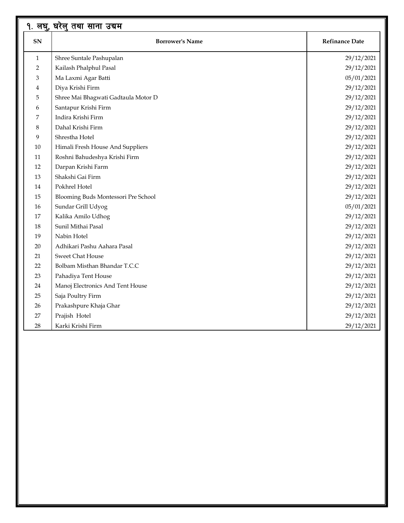|                | १. लघु, घरेलु तथा साना उद्यम        |                       |
|----------------|-------------------------------------|-----------------------|
| SN             | <b>Borrower's Name</b>              | <b>Refinance Date</b> |
| $\mathbf{1}$   | Shree Suntale Pashupalan            | 29/12/2021            |
| $\overline{2}$ | Kailash Phalphul Pasal              | 29/12/2021            |
| 3              | Ma Laxmi Agar Batti                 | 05/01/2021            |
| 4              | Diya Krishi Firm                    | 29/12/2021            |
| 5              | Shree Mai Bhagwati Gadtaula Motor D | 29/12/2021            |
| 6              | Santapur Krishi Firm                | 29/12/2021            |
| 7              | Indira Krishi Firm                  | 29/12/2021            |
| 8              | Dahal Krishi Firm                   | 29/12/2021            |
| 9              | Shrestha Hotel                      | 29/12/2021            |
| 10             | Himali Fresh House And Suppliers    | 29/12/2021            |
| 11             | Roshni Bahudeshya Krishi Firm       | 29/12/2021            |
| 12             | Darpan Krishi Farm                  | 29/12/2021            |
| 13             | Shakshi Gai Firm                    | 29/12/2021            |
| 14             | Pokhrel Hotel                       | 29/12/2021            |
| 15             | Blooming Buds Montessori Pre School | 29/12/2021            |
| 16             | Sundar Grill Udyog                  | 05/01/2021            |
| 17             | Kalika Amilo Udhog                  | 29/12/2021            |
| 18             | Sunil Mithai Pasal                  | 29/12/2021            |
| 19             | Nabin Hotel                         | 29/12/2021            |
| 20             | Adhikari Pashu Aahara Pasal         | 29/12/2021            |
| 21             | Sweet Chat House                    | 29/12/2021            |
| 22             | Bolbam Misthan Bhandar T.C.C        | 29/12/2021            |
| 23             | Pahadiya Tent House                 | 29/12/2021            |
| 24             | Manoj Electronics And Tent House    | 29/12/2021            |
| 25             | Saja Poultry Firm                   | 29/12/2021            |
| 26             | Prakashpure Khaja Ghar              | 29/12/2021            |
| 27             | Prajish Hotel                       | 29/12/2021            |
| 28             | Karki Krishi Firm                   | 29/12/2021            |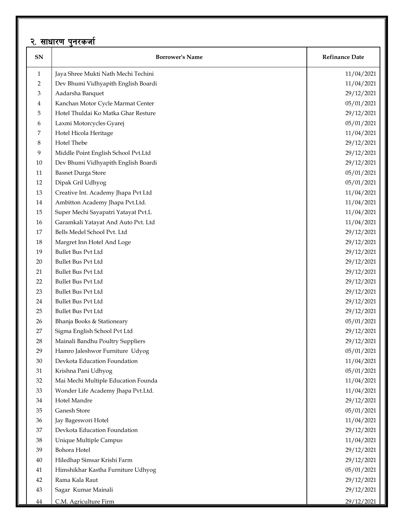## <u>२. साधारण पु</u>नरकर्जा

| २. साधारण पुनरकजा |                                     |                       |  |  |
|-------------------|-------------------------------------|-----------------------|--|--|
| ${\bf SN}$        | <b>Borrower's Name</b>              | <b>Refinance Date</b> |  |  |
| $\mathbf{1}$      | Jaya Shree Mukti Nath Mechi Techini | 11/04/2021            |  |  |
| 2                 | Dev Bhumi Vidhyapith English Boardi | 11/04/2021            |  |  |
| 3                 | Aadarsha Banquet                    | 29/12/2021            |  |  |
| 4                 | Kanchan Motor Cycle Marmat Center   | 05/01/2021            |  |  |
| 5                 | Hotel Thuldai Ko Matka Ghar Resture | 29/12/2021            |  |  |
| 6                 | Laxmi Motorcycles Gyarej            | 05/01/2021            |  |  |
| 7                 | Hotel Hicola Heritage               | 11/04/2021            |  |  |
| 8                 | Hotel Thebe                         | 29/12/2021            |  |  |
| 9                 | Middle Point English School Pvt.Ltd | 29/12/2021            |  |  |
| 10                | Dev Bhumi Vidhyapith English Boardi | 29/12/2021            |  |  |
| 11                | <b>Basnet Durga Store</b>           | 05/01/2021            |  |  |
| 12                | Dipak Gril Udhyog                   | 05/01/2021            |  |  |
| 13                | Creative Int. Academy Jhapa Pvt Ltd | 11/04/2021            |  |  |
| 14                | Ambitton Academy Jhapa Pvt.Ltd.     | 11/04/2021            |  |  |
| 15                | Super Mechi Sayapatri Yatayat Pvt.L | 11/04/2021            |  |  |
| 16                | Garamkali Yatayat And Auto Pvt. Ltd | 11/04/2021            |  |  |
| 17                | Bells Medel School Pvt. Ltd         | 29/12/2021            |  |  |
| 18                | Margret Inn Hotel And Loge          | 29/12/2021            |  |  |
| 19                | <b>Bullet Bus Pvt Ltd</b>           | 29/12/2021            |  |  |
| 20                | Bullet Bus Pvt Ltd                  | 29/12/2021            |  |  |
| 21                | Bullet Bus Pvt Ltd                  | 29/12/2021            |  |  |
| 22                | Bullet Bus Pvt Ltd                  | 29/12/2021            |  |  |
| 23                | Bullet Bus Pvt Ltd                  | 29/12/2021            |  |  |
| 24                | Bullet Bus Pvt Ltd                  | 29/12/2021            |  |  |
| 25                | <b>Bullet Bus Pvt Ltd</b>           | 29/12/2021            |  |  |
| 26                | Bhanja Books & Stationeary          | 05/01/2021            |  |  |
| 27                | Sigma English School Pvt Ltd        | 29/12/2021            |  |  |
| 28                | Mainali Bandhu Poultry Suppliers    | 29/12/2021            |  |  |
| 29                | Hamro Jaleshwor Furniture Udyog     | 05/01/2021            |  |  |
| 30                | Devkota Education Foundation        | 11/04/2021            |  |  |
| 31                | Krishna Pani Udhyog                 | 05/01/2021            |  |  |
| 32                | Mai Mechi Multiple Education Founda | 11/04/2021            |  |  |
| 33                | Wonder Life Academy Jhapa Pvt.Ltd.  | 11/04/2021            |  |  |
| 34                | Hotel Mandre                        | 29/12/2021            |  |  |
| 35                | Ganesh Store                        | 05/01/2021            |  |  |
| 36                | Jay Bageswori Hotel                 | 11/04/2021            |  |  |
| 37                | Devkota Education Foundation        | 29/12/2021            |  |  |
| 38                | Unique Multiple Campus              | 11/04/2021            |  |  |
| 39                | Bohora Hotel                        | 29/12/2021            |  |  |
| 40                | Hiledhap Simsar Krishi Farm         | 29/12/2021            |  |  |
| 41                | Himshikhar Kastha Furniture Udhyog  | 05/01/2021            |  |  |
| 42                | Rama Kala Raut                      | 29/12/2021            |  |  |
| 43                | Sagar Kumar Mainali                 | 29/12/2021            |  |  |
| 44                | C.M. Agriculture Firm               | 29/12/2021            |  |  |